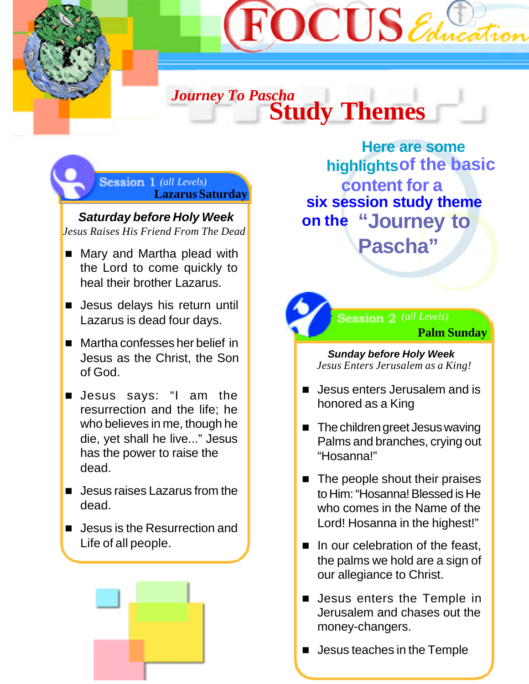

# *Journey To Pascha* **Study Themes**

**Lazarus Saturday** *(all Levels)*

*Saturday before Holy Week Jesus Raises His Friend From The Dead*

- Mary and Martha plead with the Lord to come quickly to heal their brother Lazarus.
- **n** Jesus delays his return until Lazarus is dead four days.
- $\blacksquare$  Martha confesses her belief in Jesus as the Christ, the Son of God.
- **D** Jesus says: "I am the resurrection and the life; he who believes in me, though he die, yet shall he live..." Jesus has the power to raise the dead.
- $\blacksquare$  Jesus raises Lazarus from the dead.
- Jesus is the Resurrection and Life of all people.



 **six session study theme on the "Journey to Pascha" Here are some highlights of the basic content for a**



*Sunday before Holy Week Jesus Enters Jerusalem as a King!*

- **n** Jesus enters Jerusalem and is honored as a King
- $\blacksquare$  The children greet Jesus waving Palms and branches, crying out "Hosanna!"
- $\blacksquare$  The people shout their praises to Him: "Hosanna! Blessed is He who comes in the Name of the Lord! Hosanna in the highest!"
- $\blacksquare$  In our celebration of the feast, the palms we hold are a sign of our allegiance to Christ.
- **Desus enters the Temple in** Jerusalem and chases out the money-changers.
- $\blacksquare$  Jesus teaches in the Temple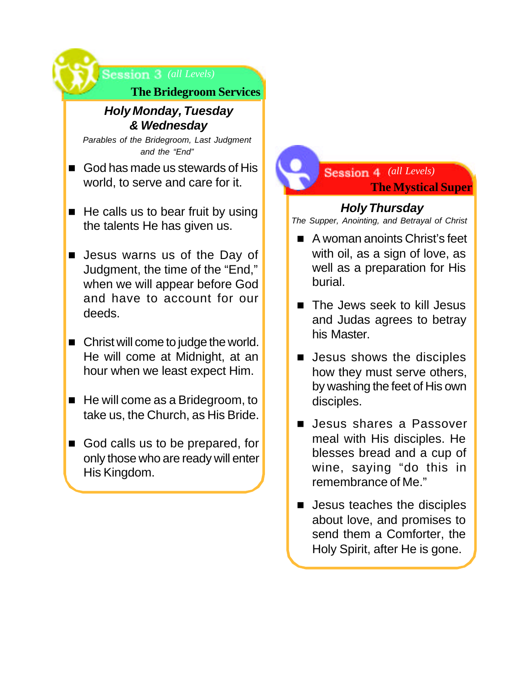

### *Holy Monday, Tuesday & Wednesday*

*Parables of the Bridegroom, Last Judgment and the "End"*

- God has made us stewards of His world, to serve and care for it.
- $\blacksquare$  He calls us to bear fruit by using the talents He has given us.
- **E** Jesus warns us of the Day of Judgment, the time of the "End," when we will appear before God and have to account for our deeds.
- $\blacksquare$  Christ will come to judge the world. He will come at Midnight, at an hour when we least expect Him.
- $\blacksquare$  He will come as a Bridegroom, to take us, the Church, as His Bride.
- God calls us to be prepared, for only those who are ready will enter His Kingdom.

## **The Mystical Super** *(all Levels)*

## *Holy Thursday*

*The Supper, Anointing, and Betrayal of Christ*

- $\blacksquare$  A woman anoints Christ's feet with oil, as a sign of love, as well as a preparation for His burial.
- The Jews seek to kill Jesus and Judas agrees to betray his Master.
- $\blacksquare$  Jesus shows the disciples how they must serve others, by washing the feet of His own disciples.
- **n** Jesus shares a Passover meal with His disciples. He blesses bread and a cup of wine, saying "do this in remembrance of Me."
- $\blacksquare$  Jesus teaches the disciples about love, and promises to send them a Comforter, the Holy Spirit, after He is gone.